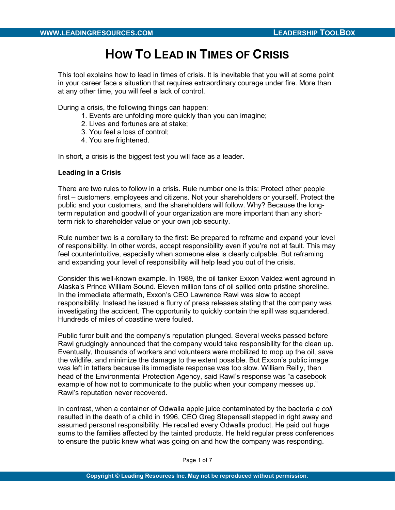# HOW TO LEAD IN TIMES OF CRISIS

This tool explains how to lead in times of crisis. It is inevitable that you will at some point in your career face a situation that requires extraordinary courage under fire. More than at any other time, you will feel a lack of control.

During a crisis, the following things can happen:

- 1. Events are unfolding more quickly than you can imagine;
- 2. Lives and fortunes are at stake;
- 3. You feel a loss of control;
- 4. You are frightened.

In short, a crisis is the biggest test you will face as a leader.

#### Leading in a Crisis

There are two rules to follow in a crisis. Rule number one is this: Protect other people first – customers, employees and citizens. Not your shareholders or yourself. Protect the public and your customers, and the shareholders will follow. Why? Because the longterm reputation and goodwill of your organization are more important than any shortterm risk to shareholder value or your own job security.

Rule number two is a corollary to the first: Be prepared to reframe and expand your level of responsibility. In other words, accept responsibility even if you're not at fault. This may feel counterintuitive, especially when someone else is clearly culpable. But reframing and expanding your level of responsibility will help lead you out of the crisis.

Consider this well-known example. In 1989, the oil tanker Exxon Valdez went aground in Alaska's Prince William Sound. Eleven million tons of oil spilled onto pristine shoreline. In the immediate aftermath, Exxon's CEO Lawrence Rawl was slow to accept responsibility. Instead he issued a flurry of press releases stating that the company was investigating the accident. The opportunity to quickly contain the spill was squandered. Hundreds of miles of coastline were fouled.

Public furor built and the company's reputation plunged. Several weeks passed before Rawl grudgingly announced that the company would take responsibility for the clean up. Eventually, thousands of workers and volunteers were mobilized to mop up the oil, save the wildlife, and minimize the damage to the extent possible. But Exxon's public image was left in tatters because its immediate response was too slow. William Reilly, then head of the Environmental Protection Agency, said Rawl's response was "a casebook example of how not to communicate to the public when your company messes up." Rawl's reputation never recovered.

In contrast, when a container of Odwalla apple juice contaminated by the bacteria e coli resulted in the death of a child in 1996, CEO Greg Stepensall stepped in right away and assumed personal responsibility. He recalled every Odwalla product. He paid out huge sums to the families affected by the tainted products. He held regular press conferences to ensure the public knew what was going on and how the company was responding.

Page 1 of 7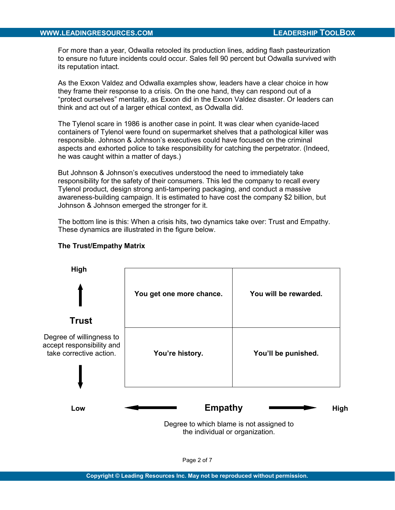### WWW.LEADINGRESOURCES.COM **LEADERSHIP TOOLBOX**

For more than a year, Odwalla retooled its production lines, adding flash pasteurization to ensure no future incidents could occur. Sales fell 90 percent but Odwalla survived with its reputation intact.

As the Exxon Valdez and Odwalla examples show, leaders have a clear choice in how they frame their response to a crisis. On the one hand, they can respond out of a "protect ourselves" mentality, as Exxon did in the Exxon Valdez disaster. Or leaders can think and act out of a larger ethical context, as Odwalla did.

The Tylenol scare in 1986 is another case in point. It was clear when cyanide-laced containers of Tylenol were found on supermarket shelves that a pathological killer was responsible. Johnson & Johnson's executives could have focused on the criminal aspects and exhorted police to take responsibility for catching the perpetrator. (Indeed, he was caught within a matter of days.)

But Johnson & Johnson's executives understood the need to immediately take responsibility for the safety of their consumers. This led the company to recall every Tylenol product, design strong anti-tampering packaging, and conduct a massive awareness-building campaign. It is estimated to have cost the company \$2 billion, but Johnson & Johnson emerged the stronger for it.

The bottom line is this: When a crisis hits, two dynamics take over: Trust and Empathy. These dynamics are illustrated in the figure below.



# The Trust/Empathy Matrix

the individual or organization.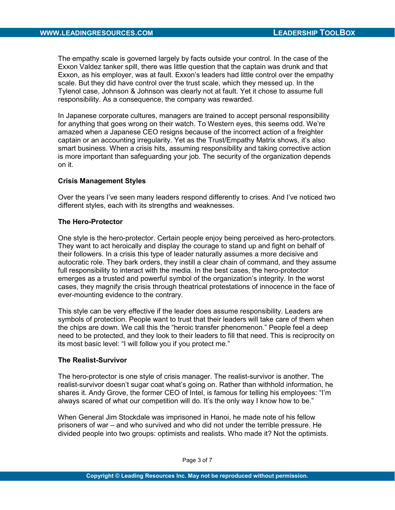The empathy scale is governed largely by facts outside your control. In the case of the Exxon Valdez tanker spill, there was little question that the captain was drunk and that Exxon, as his employer, was at fault. Exxon's leaders had little control over the empathy scale. But they did have control over the trust scale, which they messed up. In the Tylenol case, Johnson & Johnson was clearly not at fault. Yet it chose to assume full responsibility. As a consequence, the company was rewarded.

In Japanese corporate cultures, managers are trained to accept personal responsibility for anything that goes wrong on their watch. To Western eyes, this seems odd. We're amazed when a Japanese CEO resigns because of the incorrect action of a freighter captain or an accounting irregularity. Yet as the Trust/Empathy Matrix shows, it's also smart business. When a crisis hits, assuming responsibility and taking corrective action is more important than safeguarding your job. The security of the organization depends on it.

## Crisis Management Styles

Over the years I've seen many leaders respond differently to crises. And I've noticed two different styles, each with its strengths and weaknesses.

#### The Hero-Protector

One style is the hero-protector. Certain people enjoy being perceived as hero-protectors. They want to act heroically and display the courage to stand up and fight on behalf of their followers. In a crisis this type of leader naturally assumes a more decisive and autocratic role. They bark orders, they instill a clear chain of command, and they assume full responsibility to interact with the media. In the best cases, the hero-protector emerges as a trusted and powerful symbol of the organization's integrity. In the worst cases, they magnify the crisis through theatrical protestations of innocence in the face of ever-mounting evidence to the contrary.

This style can be very effective if the leader does assume responsibility. Leaders are symbols of protection. People want to trust that their leaders will take care of them when the chips are down. We call this the "heroic transfer phenomenon." People feel a deep need to be protected, and they look to their leaders to fill that need. This is reciprocity on its most basic level: "I will follow you if you protect me."

#### The Realist-Survivor

The hero-protector is one style of crisis manager. The realist-survivor is another. The realist-survivor doesn't sugar coat what's going on. Rather than withhold information, he shares it. Andy Grove, the former CEO of Intel, is famous for telling his employees: "I'm always scared of what our competition will do. It's the only way I know how to be."

When General Jim Stockdale was imprisoned in Hanoi, he made note of his fellow prisoners of war – and who survived and who did not under the terrible pressure. He divided people into two groups: optimists and realists. Who made it? Not the optimists.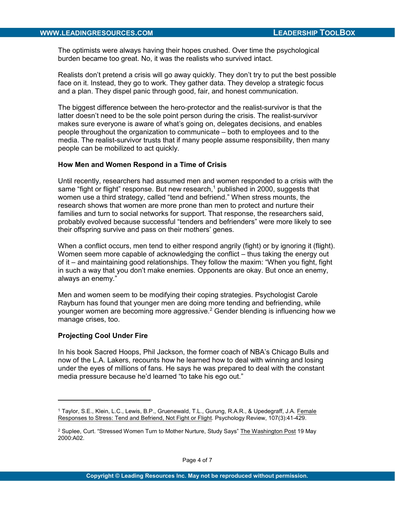The optimists were always having their hopes crushed. Over time the psychological burden became too great. No, it was the realists who survived intact.

Realists don't pretend a crisis will go away quickly. They don't try to put the best possible face on it. Instead, they go to work. They gather data. They develop a strategic focus and a plan. They dispel panic through good, fair, and honest communication.

The biggest difference between the hero-protector and the realist-survivor is that the latter doesn't need to be the sole point person during the crisis. The realist-survivor makes sure everyone is aware of what's going on, delegates decisions, and enables people throughout the organization to communicate – both to employees and to the media. The realist-survivor trusts that if many people assume responsibility, then many people can be mobilized to act quickly.

#### How Men and Women Respond in a Time of Crisis

Until recently, researchers had assumed men and women responded to a crisis with the same "fight or flight" response. But new research, $^1$  published in 2000, suggests that women use a third strategy, called "tend and befriend." When stress mounts, the research shows that women are more prone than men to protect and nurture their families and turn to social networks for support. That response, the researchers said, probably evolved because successful "tenders and befrienders" were more likely to see their offspring survive and pass on their mothers' genes.

When a conflict occurs, men tend to either respond angrily (fight) or by ignoring it (flight). Women seem more capable of acknowledging the conflict – thus taking the energy out of it – and maintaining good relationships. They follow the maxim: "When you fight, fight in such a way that you don't make enemies. Opponents are okay. But once an enemy, always an enemy."

Men and women seem to be modifying their coping strategies. Psychologist Carole Rayburn has found that younger men are doing more tending and befriending, while younger women are becoming more aggressive. $^2$  Gender blending is influencing how we manage crises, too.

#### Projecting Cool Under Fire

 $\overline{a}$ 

In his book Sacred Hoops, Phil Jackson, the former coach of NBA's Chicago Bulls and now of the L.A. Lakers, recounts how he learned how to deal with winning and losing under the eyes of millions of fans. He says he was prepared to deal with the constant media pressure because he'd learned "to take his ego out."

<sup>&</sup>lt;sup>1</sup> Taylor, S.E., Klein, L.C., Lewis, B.P., Gruenewald, T.L., Gurung, R.A.R., & Upedegraff, J.A. <u>Female</u> Responses to Stress: Tend and Befriend, Not Fight or Flight. Psychology Review, 107(3):41-429.

<sup>&</sup>lt;sup>2</sup> Suplee, Curt. "Stressed Women Turn to Mother Nurture, Study Says" <u>The Washington Post</u> 19 May 2000:A02.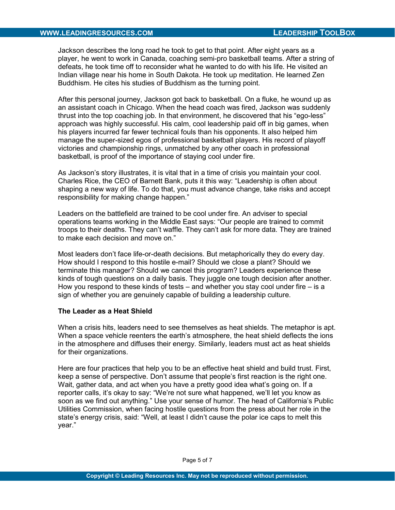Jackson describes the long road he took to get to that point. After eight years as a player, he went to work in Canada, coaching semi-pro basketball teams. After a string of defeats, he took time off to reconsider what he wanted to do with his life. He visited an Indian village near his home in South Dakota. He took up meditation. He learned Zen Buddhism. He cites his studies of Buddhism as the turning point.

After this personal journey, Jackson got back to basketball. On a fluke, he wound up as an assistant coach in Chicago. When the head coach was fired, Jackson was suddenly thrust into the top coaching job. In that environment, he discovered that his "ego-less" approach was highly successful. His calm, cool leadership paid off in big games, when his players incurred far fewer technical fouls than his opponents. It also helped him manage the super-sized egos of professional basketball players. His record of playoff victories and championship rings, unmatched by any other coach in professional basketball, is proof of the importance of staying cool under fire.

As Jackson's story illustrates, it is vital that in a time of crisis you maintain your cool. Charles Rice, the CEO of Barnett Bank, puts it this way: "Leadership is often about shaping a new way of life. To do that, you must advance change, take risks and accept responsibility for making change happen."

Leaders on the battlefield are trained to be cool under fire. An adviser to special operations teams working in the Middle East says: "Our people are trained to commit troops to their deaths. They can't waffle. They can't ask for more data. They are trained to make each decision and move on."

Most leaders don't face life-or-death decisions. But metaphorically they do every day. How should I respond to this hostile e-mail? Should we close a plant? Should we terminate this manager? Should we cancel this program? Leaders experience these kinds of tough questions on a daily basis. They juggle one tough decision after another. How you respond to these kinds of tests – and whether you stay cool under fire – is a sign of whether you are genuinely capable of building a leadership culture.

#### The Leader as a Heat Shield

When a crisis hits, leaders need to see themselves as heat shields. The metaphor is apt. When a space vehicle reenters the earth's atmosphere, the heat shield deflects the ions in the atmosphere and diffuses their energy. Similarly, leaders must act as heat shields for their organizations.

Here are four practices that help you to be an effective heat shield and build trust. First, keep a sense of perspective. Don't assume that people's first reaction is the right one. Wait, gather data, and act when you have a pretty good idea what's going on. If a reporter calls, it's okay to say: "We're not sure what happened, we'll let you know as soon as we find out anything." Use your sense of humor. The head of California's Public Utilities Commission, when facing hostile questions from the press about her role in the state's energy crisis, said: "Well, at least I didn't cause the polar ice caps to melt this year."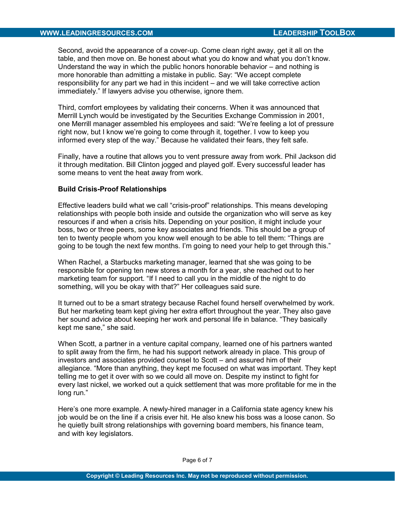Second, avoid the appearance of a cover-up. Come clean right away, get it all on the table, and then move on. Be honest about what you do know and what you don't know. Understand the way in which the public honors honorable behavior – and nothing is more honorable than admitting a mistake in public. Say: "We accept complete responsibility for any part we had in this incident – and we will take corrective action immediately." If lawyers advise you otherwise, ignore them.

Third, comfort employees by validating their concerns. When it was announced that Merrill Lynch would be investigated by the Securities Exchange Commission in 2001, one Merrill manager assembled his employees and said: "We're feeling a lot of pressure right now, but I know we're going to come through it, together. I vow to keep you informed every step of the way." Because he validated their fears, they felt safe.

Finally, have a routine that allows you to vent pressure away from work. Phil Jackson did it through meditation. Bill Clinton jogged and played golf. Every successful leader has some means to vent the heat away from work.

#### Build Crisis-Proof Relationships

Effective leaders build what we call "crisis-proof" relationships. This means developing relationships with people both inside and outside the organization who will serve as key resources if and when a crisis hits. Depending on your position, it might include your boss, two or three peers, some key associates and friends. This should be a group of ten to twenty people whom you know well enough to be able to tell them: "Things are going to be tough the next few months. I'm going to need your help to get through this."

When Rachel, a Starbucks marketing manager, learned that she was going to be responsible for opening ten new stores a month for a year, she reached out to her marketing team for support. "If I need to call you in the middle of the night to do something, will you be okay with that?" Her colleagues said sure.

It turned out to be a smart strategy because Rachel found herself overwhelmed by work. But her marketing team kept giving her extra effort throughout the year. They also gave her sound advice about keeping her work and personal life in balance. "They basically kept me sane," she said.

When Scott, a partner in a venture capital company, learned one of his partners wanted to split away from the firm, he had his support network already in place. This group of investors and associates provided counsel to Scott – and assured him of their allegiance. "More than anything, they kept me focused on what was important. They kept telling me to get it over with so we could all move on. Despite my instinct to fight for every last nickel, we worked out a quick settlement that was more profitable for me in the long run."

Here's one more example. A newly-hired manager in a California state agency knew his job would be on the line if a crisis ever hit. He also knew his boss was a loose canon. So he quietly built strong relationships with governing board members, his finance team, and with key legislators.